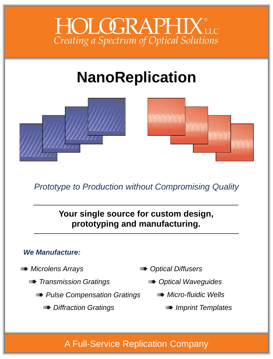

# **NanoReplication**



*Prototype to Production without Compromising Quality*

**Your single source for custom design, prototyping and manufacturing.**

### *We Manufacture:*

- *Microlens Arrays*
	- *Transmission Gratings*
		- *Pulse Compensation Gratings*
			- **IIII** *Diffraction Gratings IIII <b>Imprint Templates*

*Optical Diffusers*

- *Optical Waveguides*
	- *Micro-fluidic Wells*
		-

## A Full-Service Replication Company